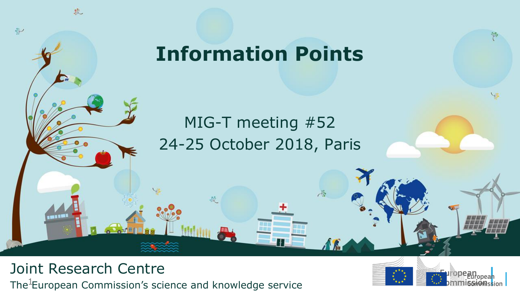## **Information Points**

## MIG-T meeting #52 24-25 October 2018, Paris

 $\mathcal{A}^{\mathcal{S}}$ 

A R

#### The<sup>1</sup>European Commission's science and knowledge service Joint Research Centre

悲

 $\frac{\partial \mathcal{L}}{\partial \mathcal{L}}$ 

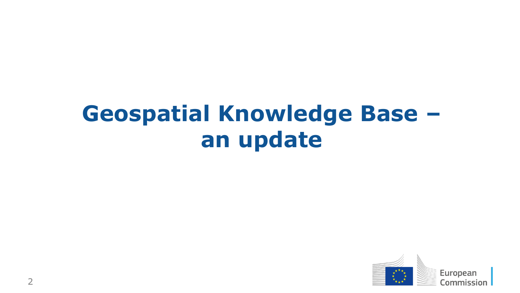# **Geospatial Knowledge Base – an update**

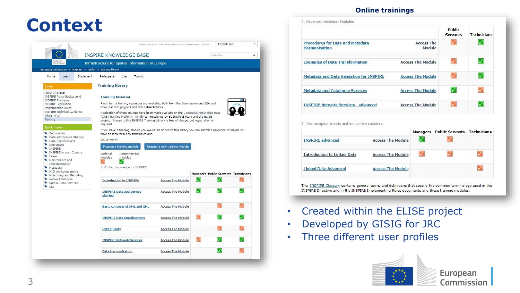#### **Context** English (en) About | Contact53 | Terms of use | Privacy Policy | Legal Notice | Cookies **INSPIRE KNOWLEDGE BASE** Search... Infrastructure for spatial information in Europe European Commission > INSPIRE > Toolkit > Training library Home Learn Implement Participate Use Toolkit **Training library** About INSPIRE **INSPIRE Policy Background Training Material INSPIRE Principles** A number of training resources are available, both from the Commission and EEA and INSPIRE Legislation from research projects and other stakeholders. Implementing Rules 90 **INSPIRE Technical Guidance** A selection of these courses have been made availabe on the Geospatial Knowledge Base Who's who? (GKB) Training Platform, jointly commissioned by EC INSPIRE team and the ELISE Training project. Access to this INSPIRE Training Library is free of charge, but registration is required. If you have a training module you would like added to this library you can submit a proposal, or maybe you Community have an idea for a new training course. Data and Service Sharing Let us know! Data Specifications • Implement Propose a training module Request a new training module **WINSPIRE** • INSPIRE in your Country Optional Recommended Learn modules modules Maintenance and Implementation 1. Context knowledge for INSPIRE Metadata MIG Workprogramme **Managers Public Servants Technicians** Monitoring and Reporting Network Services  $\triangledown$ **Introduction to INSPIRE Access The Module** Spatial Data Services Use ☑  $\triangledown$  $\boldsymbol{\triangledown}$ **INSPIRE Data and service Access The Module** sharing  $\triangledown$  $\blacktriangledown$ **Basic concepts of XML and GML Access The Module**  $\boldsymbol{\triangledown}$  $\boldsymbol{\triangledown}$ **INSPIRE Data Specifications Access The Module**  $\triangledown$ **Data Quality Access The Module**  $\boldsymbol{\nabla}$  $|\mathcal{J}|$ **INSPIRE Network Services Access The Module**  $\triangledown$ V **Data Harmonisation Access The Module**

#### **Online trainings**

|                                                                 |                             | Public<br><b>Servants</b> | <b>Technicians</b> |
|-----------------------------------------------------------------|-----------------------------|---------------------------|--------------------|
| <b>Procedures for Data and Metadata</b><br><b>Harmonisation</b> | <b>Access The</b><br>Module |                           |                    |
| <b>Examples of Data Transformation</b>                          | <b>Access The Module</b>    |                           |                    |
| <b>Metadata and Data Validation for INSPIRE</b>                 | <b>Access The Module</b>    |                           |                    |
| <b>Metadata and Catalogue Services</b>                          | <b>Access The Module</b>    |                           |                    |
| <b>INSPIRE Network Services - advanced</b>                      | <b>Access The Module</b>    |                           |                    |

3. Technological trends and innovative solutions

 $\star$ 

 $\alpha$ 

|                                    |                          | <b>Managers</b> | <b>Public Servants Technicians</b> |  |
|------------------------------------|--------------------------|-----------------|------------------------------------|--|
| <b>INSPIRE</b> advanced            | <b>Access The Module</b> |                 |                                    |  |
| <b>Introduction to Linked Data</b> | <b>Access The Module</b> |                 |                                    |  |
| <b>Linked Data Advanced</b>        | <b>Access The Module</b> |                 |                                    |  |

The INSPIRE Glossary contains general terms and definitions that specify the common terminology used in the INSPIRE Directive and in the INSPIRE Implementing Rules documents and these training modules.

- Created within the ELISE project
- Developed by GISIG for JRC
- Three different user profiles

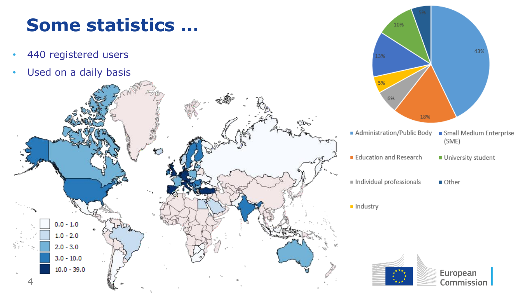## **Some statistics …**

- 440 registered users
- Used on a daily basis





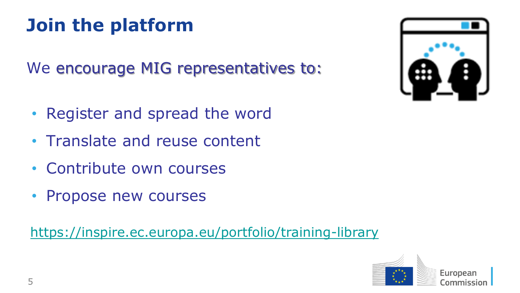## **Join the platform**

We encourage MIG representatives to:

- Register and spread the word
- Translate and reuse content
- Contribute own courses
- Propose new courses

<https://inspire.ec.europa.eu/portfolio/training-library>



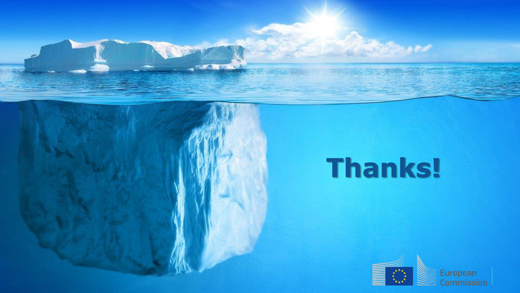# **Thanks!**

**STORED & PACK** 

**ANGLE CALL** 

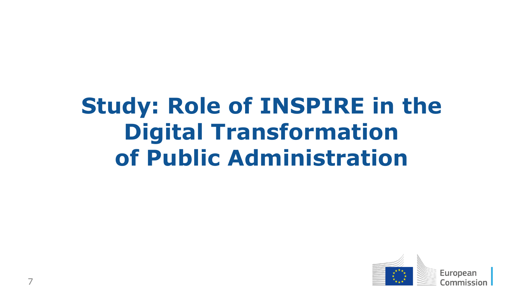# **Study: Role of INSPIRE in the Digital Transformation of Public Administration**

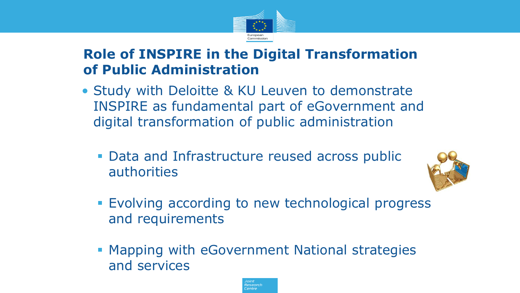

### **Role of INSPIRE in the Digital Transformation of Public Administration**

- Study with Deloitte & KU Leuven to demonstrate INSPIRE as fundamental part of eGovernment and digital transformation of public administration
	- **Data and Infrastructure reused across public** authorities



- **Evolving according to new technological progress** and requirements
- **Mapping with eGovernment National strategies** and services